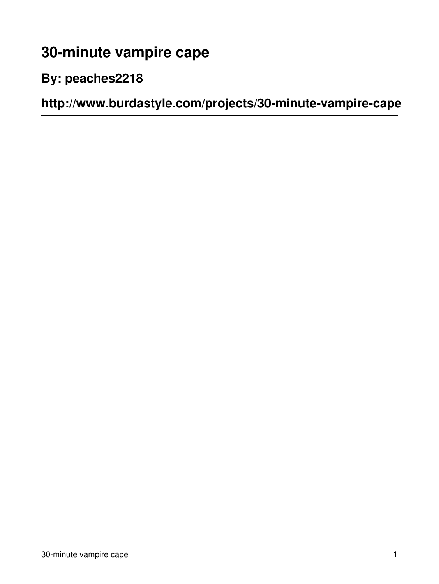# **30-minute vampire cape**

**By: peaches2218**

**http://www.burdastyle.com/projects/30-minute-vampire-cape**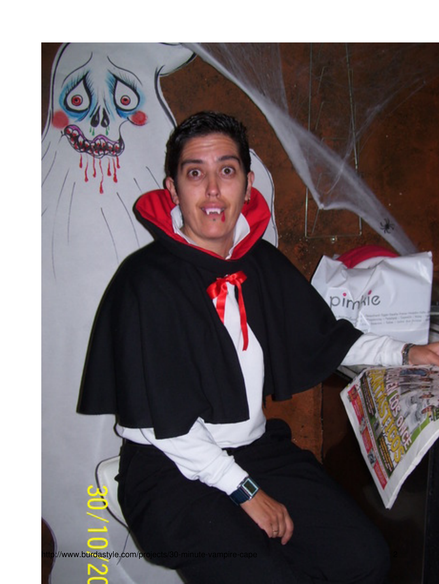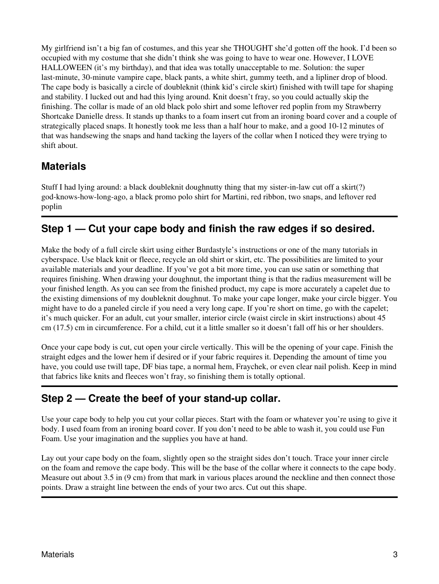My girlfriend isn't a big fan of costumes, and this year she THOUGHT she'd gotten off the hook. I'd been so occupied with my costume that she didn't think she was going to have to wear one. However, I LOVE HALLOWEEN (it's my birthday), and that idea was totally unacceptable to me. Solution: the super last-minute, 30-minute vampire cape, black pants, a white shirt, gummy teeth, and a lipliner drop of blood. The cape body is basically a circle of doubleknit (think kid's circle skirt) finished with twill tape for shaping and stability. I lucked out and had this lying around. Knit doesn't fray, so you could actually skip the finishing. The collar is made of an old black polo shirt and some leftover red poplin from my Strawberry Shortcake Danielle dress. It stands up thanks to a foam insert cut from an ironing board cover and a couple of strategically placed snaps. It honestly took me less than a half hour to make, and a good 10-12 minutes of that was handsewing the snaps and hand tacking the layers of the collar when I noticed they were trying to shift about.

### **Materials**

Stuff I had lying around: a black doubleknit doughnutty thing that my sister-in-law cut off a skirt(?) god-knows-how-long-ago, a black promo polo shirt for Martini, red ribbon, two snaps, and leftover red poplin

# **Step 1 — Cut your cape body and finish the raw edges if so desired.**

Make the body of a full circle skirt using either Burdastyle's instructions or one of the many tutorials in cyberspace. Use black knit or fleece, recycle an old shirt or skirt, etc. The possibilities are limited to your available materials and your deadline. If you've got a bit more time, you can use satin or something that requires finishing. When drawing your doughnut, the important thing is that the radius measurement will be your finished length. As you can see from the finished product, my cape is more accurately a capelet due to the existing dimensions of my doubleknit doughnut. To make your cape longer, make your circle bigger. You might have to do a paneled circle if you need a very long cape. If you're short on time, go with the capelet; it's much quicker. For an adult, cut your smaller, interior circle (waist circle in skirt instructions) about 45 cm (17.5) cm in circumference. For a child, cut it a little smaller so it doesn't fall off his or her shoulders.

Once your cape body is cut, cut open your circle vertically. This will be the opening of your cape. Finish the straight edges and the lower hem if desired or if your fabric requires it. Depending the amount of time you have, you could use twill tape, DF bias tape, a normal hem, Fraychek, or even clear nail polish. Keep in mind that fabrics like knits and fleeces won't fray, so finishing them is totally optional.

# **Step 2 — Create the beef of your stand-up collar.**

Use your cape body to help you cut your collar pieces. Start with the foam or whatever you're using to give it body. I used foam from an ironing board cover. If you don't need to be able to wash it, you could use Fun Foam. Use your imagination and the supplies you have at hand.

Lay out your cape body on the foam, slightly open so the straight sides don't touch. Trace your inner circle on the foam and remove the cape body. This will be the base of the collar where it connects to the cape body. Measure out about 3.5 in (9 cm) from that mark in various places around the neckline and then connect those points. Draw a straight line between the ends of your two arcs. Cut out this shape.